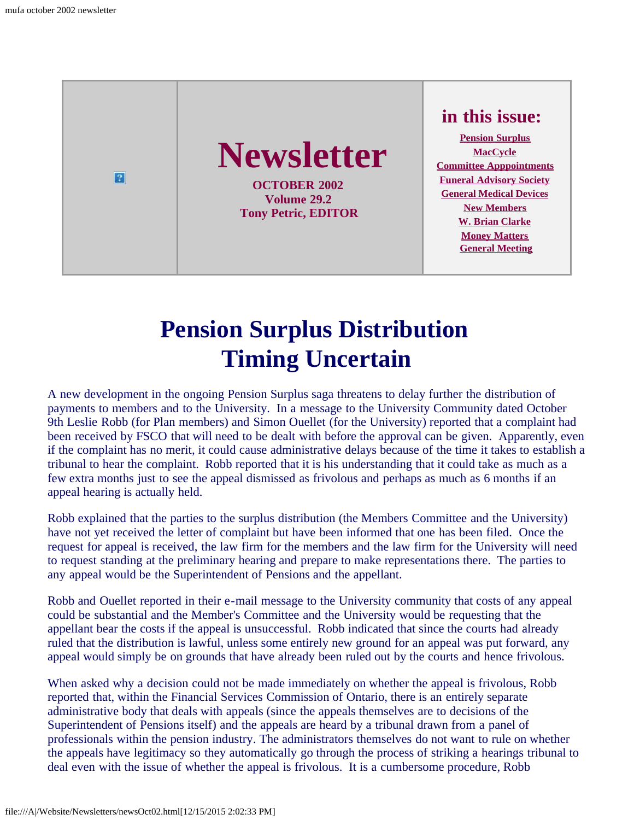

## **Pension Surplus Distribution Timing Uncertain**

<span id="page-0-0"></span>A new development in the ongoing Pension Surplus saga threatens to delay further the distribution of payments to members and to the University. In a message to the University Community dated October 9th Leslie Robb (for Plan members) and Simon Ouellet (for the University) reported that a complaint had been received by FSCO that will need to be dealt with before the approval can be given. Apparently, even if the complaint has no merit, it could cause administrative delays because of the time it takes to establish a tribunal to hear the complaint. Robb reported that it is his understanding that it could take as much as a few extra months just to see the appeal dismissed as frivolous and perhaps as much as 6 months if an appeal hearing is actually held.

Robb explained that the parties to the surplus distribution (the Members Committee and the University) have not yet received the letter of complaint but have been informed that one has been filed. Once the request for appeal is received, the law firm for the members and the law firm for the University will need to request standing at the preliminary hearing and prepare to make representations there. The parties to any appeal would be the Superintendent of Pensions and the appellant.

Robb and Ouellet reported in their e-mail message to the University community that costs of any appeal could be substantial and the Member's Committee and the University would be requesting that the appellant bear the costs if the appeal is unsuccessful. Robb indicated that since the courts had already ruled that the distribution is lawful, unless some entirely new ground for an appeal was put forward, any appeal would simply be on grounds that have already been ruled out by the courts and hence frivolous.

When asked why a decision could not be made immediately on whether the appeal is frivolous, Robb reported that, within the Financial Services Commission of Ontario, there is an entirely separate administrative body that deals with appeals (since the appeals themselves are to decisions of the Superintendent of Pensions itself) and the appeals are heard by a tribunal drawn from a panel of professionals within the pension industry. The administrators themselves do not want to rule on whether the appeals have legitimacy so they automatically go through the process of striking a hearings tribunal to deal even with the issue of whether the appeal is frivolous. It is a cumbersome procedure, Robb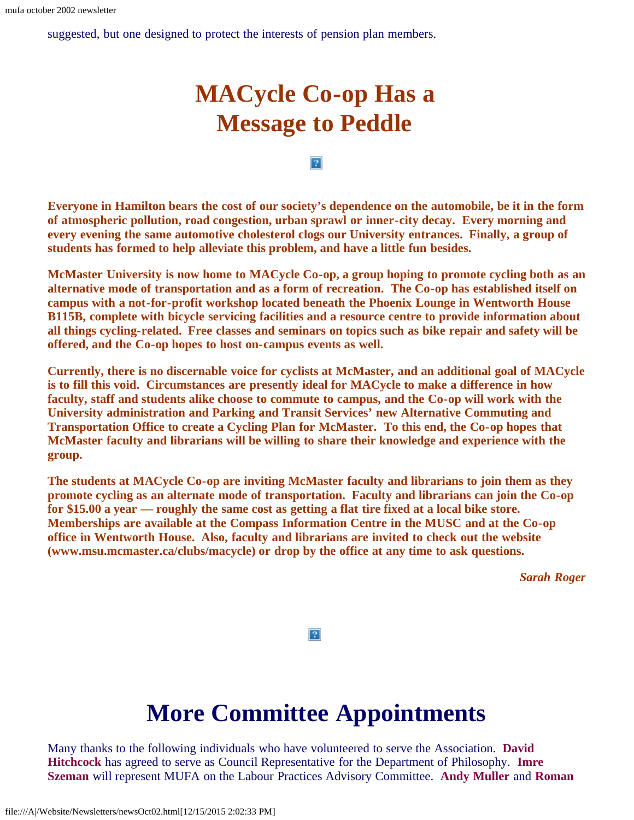<span id="page-1-0"></span>suggested, but one designed to protect the interests of pension plan members.

## **MACycle Co-op Has a Message to Peddle**

#### $|2|$

**Everyone in Hamilton bears the cost of our society's dependence on the automobile, be it in the form of atmospheric pollution, road congestion, urban sprawl or inner-city decay. Every morning and every evening the same automotive cholesterol clogs our University entrances. Finally, a group of students has formed to help alleviate this problem, and have a little fun besides.**

**McMaster University is now home to MACycle Co-op, a group hoping to promote cycling both as an alternative mode of transportation and as a form of recreation. The Co-op has established itself on campus with a not-for-profit workshop located beneath the Phoenix Lounge in Wentworth House B115B, complete with bicycle servicing facilities and a resource centre to provide information about all things cycling-related. Free classes and seminars on topics such as bike repair and safety will be offered, and the Co-op hopes to host on-campus events as well.**

**Currently, there is no discernable voice for cyclists at McMaster, and an additional goal of MACycle is to fill this void. Circumstances are presently ideal for MACycle to make a difference in how faculty, staff and students alike choose to commute to campus, and the Co-op will work with the University administration and Parking and Transit Services' new Alternative Commuting and Transportation Office to create a Cycling Plan for McMaster. To this end, the Co-op hopes that McMaster faculty and librarians will be willing to share their knowledge and experience with the group.**

**The students at MACycle Co-op are inviting McMaster faculty and librarians to join them as they promote cycling as an alternate mode of transportation. Faculty and librarians can join the Co-op for \$15.00 a year — roughly the same cost as getting a flat tire fixed at a local bike store. Memberships are available at the Compass Information Centre in the MUSC and at the Co-op office in Wentworth House. Also, faculty and librarians are invited to check out the website (www.msu.mcmaster.ca/clubs/macycle) or drop by the office at any time to ask questions.**

*Sarah Roger*

 $|2|$ 

## **More Committee Appointments**

<span id="page-1-1"></span>Many thanks to the following individuals who have volunteered to serve the Association. **David Hitchcock** has agreed to serve as Council Representative for the Department of Philosophy. **Imre Szeman** will represent MUFA on the Labour Practices Advisory Committee. **Andy Muller** and **Roman**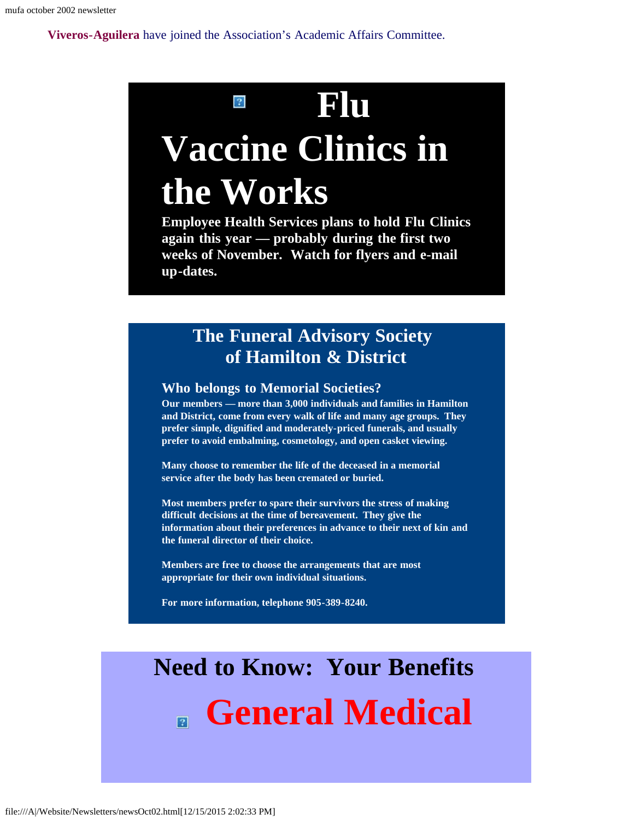**Viveros-Aguilera** have joined the Association's Academic Affairs Committee.

# **Flu Vaccine Clinics in the Works**

**Employee Health Services plans to hold Flu Clinics again this year — probably during the first two weeks of November. Watch for flyers and e-mail up-dates.**

### **The Funeral Advisory Society of Hamilton & District**

#### <span id="page-2-0"></span>**Who belongs to Memorial Societies?**

**Our members — more than 3,000 individuals and families in Hamilton and District, come from every walk of life and many age groups. They prefer simple, dignified and moderately-priced funerals, and usually prefer to avoid embalming, cosmetology, and open casket viewing.**

**Many choose to remember the life of the deceased in a memorial service after the body has been cremated or buried.**

**Most members prefer to spare their survivors the stress of making difficult decisions at the time of bereavement. They give the information about their preferences in advance to their next of kin and the funeral director of their choice.**

**Members are free to choose the arrangements that are most appropriate for their own individual situations.**

**For more information, telephone 905-389-8240.**

# <span id="page-2-1"></span>**Need to Know: Your Benefits General Medical**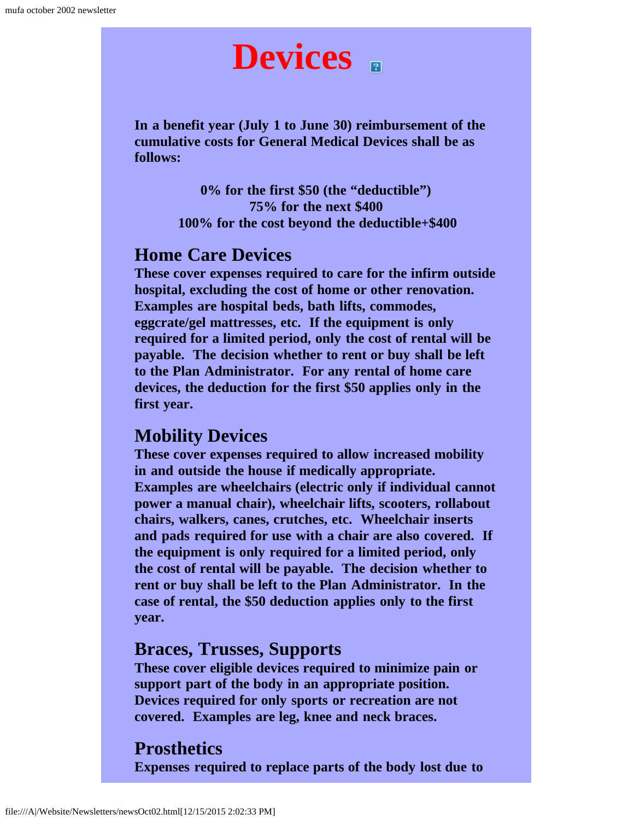# **Devices**

**In a benefit year (July 1 to June 30) reimbursement of the cumulative costs for General Medical Devices shall be as follows:**

> **0% for the first \$50 (the "deductible") 75% for the next \$400 100% for the cost beyond the deductible+\$400**

#### **Home Care Devices**

**These cover expenses required to care for the infirm outside hospital, excluding the cost of home or other renovation. Examples are hospital beds, bath lifts, commodes, eggcrate/gel mattresses, etc. If the equipment is only required for a limited period, only the cost of rental will be payable. The decision whether to rent or buy shall be left to the Plan Administrator. For any rental of home care devices, the deduction for the first \$50 applies only in the first year.**

#### **Mobility Devices**

**These cover expenses required to allow increased mobility in and outside the house if medically appropriate. Examples are wheelchairs (electric only if individual cannot power a manual chair), wheelchair lifts, scooters, rollabout chairs, walkers, canes, crutches, etc. Wheelchair inserts and pads required for use with a chair are also covered. If the equipment is only required for a limited period, only the cost of rental will be payable. The decision whether to rent or buy shall be left to the Plan Administrator. In the case of rental, the \$50 deduction applies only to the first year.**

#### **Braces, Trusses, Supports**

**These cover eligible devices required to minimize pain or support part of the body in an appropriate position. Devices required for only sports or recreation are not covered. Examples are leg, knee and neck braces.**

#### **Prosthetics**

**Expenses required to replace parts of the body lost due to**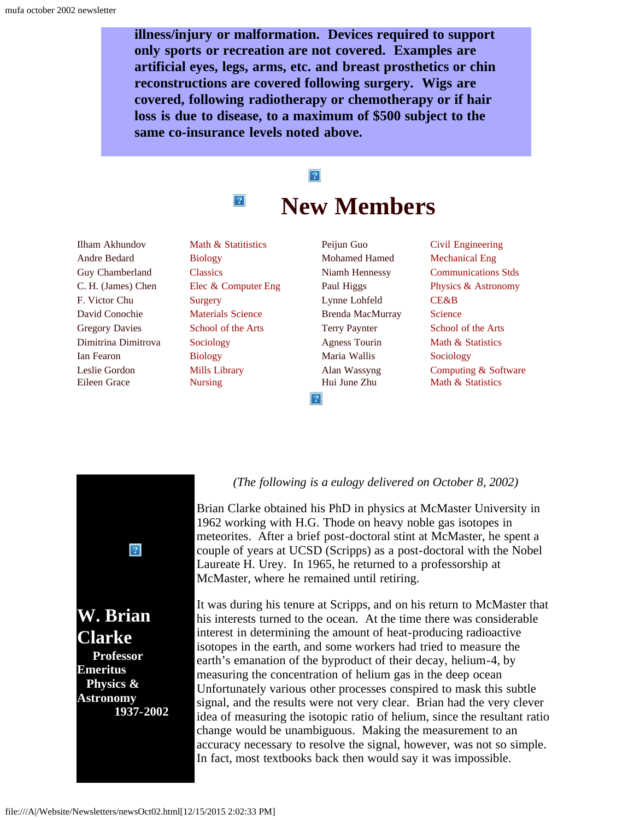**illness/injury or malformation. Devices required to support only sports or recreation are not covered. Examples are artificial eyes, legs, arms, etc. and breast prosthetics or chin reconstructions are covered following surgery. Wigs are covered, following radiotherapy or chemotherapy or if hair loss is due to disease, to a maximum of \$500 subject to the same co-insurance levels noted above.**

## $\boxed{?}$ **New Members**

<span id="page-4-0"></span>Ilham Akhundov Andre Bedard Guy Chamberland C. H. (James) Chen F. Victor Chu David Conochie Gregory Davies Dimitrina Dimitrova Ian Fearon Leslie Gordon Eileen Grace

Math & Statitistics Biology **Classics** Elec & Computer Eng Surgery Materials Science School of the Arts Sociology Biology Mills Library Nursing

 $|2|$ 

Peijun Guo Mohamed Hamed Niamh Hennessy Paul Higgs Lynne Lohfeld Brenda MacMurray Terry Paynter Agness Tourin Maria Wallis Alan Wassyng Hui June Zhu

 $|2|$ 

Civil Engineering Mechanical Eng Communications Stds Physics & Astronomy CE&B **Science** School of the Arts Math & Statistics Sociology Computing & Software Math & Statistics

<span id="page-4-1"></span>

*(The following is a eulogy delivered on October 8, 2002)*

Brian Clarke obtained his PhD in physics at McMaster University in 1962 working with H.G. Thode on heavy noble gas isotopes in meteorites. After a brief post-doctoral stint at McMaster, he spent a couple of years at UCSD (Scripps) as a post-doctoral with the Nobel Laureate H. Urey. In 1965, he returned to a professorship at McMaster, where he remained until retiring.

It was during his tenure at Scripps, and on his return to McMaster that his interests turned to the ocean. At the time there was considerable interest in determining the amount of heat-producing radioactive isotopes in the earth, and some workers had tried to measure the earth's emanation of the byproduct of their decay, helium-4, by measuring the concentration of helium gas in the deep ocean Unfortunately various other processes conspired to mask this subtle signal, and the results were not very clear. Brian had the very clever idea of measuring the isotopic ratio of helium, since the resultant ratio change would be unambiguous. Making the measurement to an accuracy necessary to resolve the signal, however, was not so simple. In fact, most textbooks back then would say it was impossible.

 **1937-2002**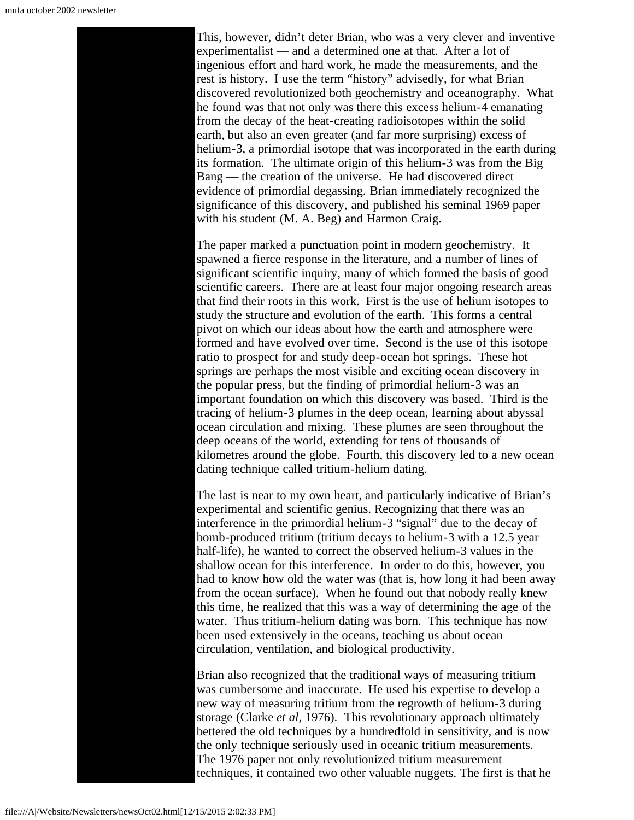This, however, didn't deter Brian, who was a very clever and inventive experimentalist — and a determined one at that. After a lot of ingenious effort and hard work, he made the measurements, and the rest is history. I use the term "history" advisedly, for what Brian discovered revolutionized both geochemistry and oceanography. What he found was that not only was there this excess helium-4 emanating from the decay of the heat-creating radioisotopes within the solid earth, but also an even greater (and far more surprising) excess of helium-3, a primordial isotope that was incorporated in the earth during its formation. The ultimate origin of this helium-3 was from the Big Bang — the creation of the universe. He had discovered direct evidence of primordial degassing. Brian immediately recognized the significance of this discovery, and published his seminal 1969 paper with his student (M. A. Beg) and Harmon Craig.

The paper marked a punctuation point in modern geochemistry. It spawned a fierce response in the literature, and a number of lines of significant scientific inquiry, many of which formed the basis of good scientific careers. There are at least four major ongoing research areas that find their roots in this work. First is the use of helium isotopes to study the structure and evolution of the earth. This forms a central pivot on which our ideas about how the earth and atmosphere were formed and have evolved over time. Second is the use of this isotope ratio to prospect for and study deep-ocean hot springs. These hot springs are perhaps the most visible and exciting ocean discovery in the popular press, but the finding of primordial helium-3 was an important foundation on which this discovery was based. Third is the tracing of helium-3 plumes in the deep ocean, learning about abyssal ocean circulation and mixing. These plumes are seen throughout the deep oceans of the world, extending for tens of thousands of kilometres around the globe. Fourth, this discovery led to a new ocean dating technique called tritium-helium dating.

The last is near to my own heart, and particularly indicative of Brian's experimental and scientific genius. Recognizing that there was an interference in the primordial helium-3 "signal" due to the decay of bomb-produced tritium (tritium decays to helium-3 with a 12.5 year half-life), he wanted to correct the observed helium-3 values in the shallow ocean for this interference. In order to do this, however, you had to know how old the water was (that is, how long it had been away from the ocean surface). When he found out that nobody really knew this time, he realized that this was a way of determining the age of the water. Thus tritium-helium dating was born. This technique has now been used extensively in the oceans, teaching us about ocean circulation, ventilation, and biological productivity.

Brian also recognized that the traditional ways of measuring tritium was cumbersome and inaccurate. He used his expertise to develop a new way of measuring tritium from the regrowth of helium-3 during storage (Clarke *et al,* 1976). This revolutionary approach ultimately bettered the old techniques by a hundredfold in sensitivity, and is now the only technique seriously used in oceanic tritium measurements. The 1976 paper not only revolutionized tritium measurement techniques, it contained two other valuable nuggets. The first is that he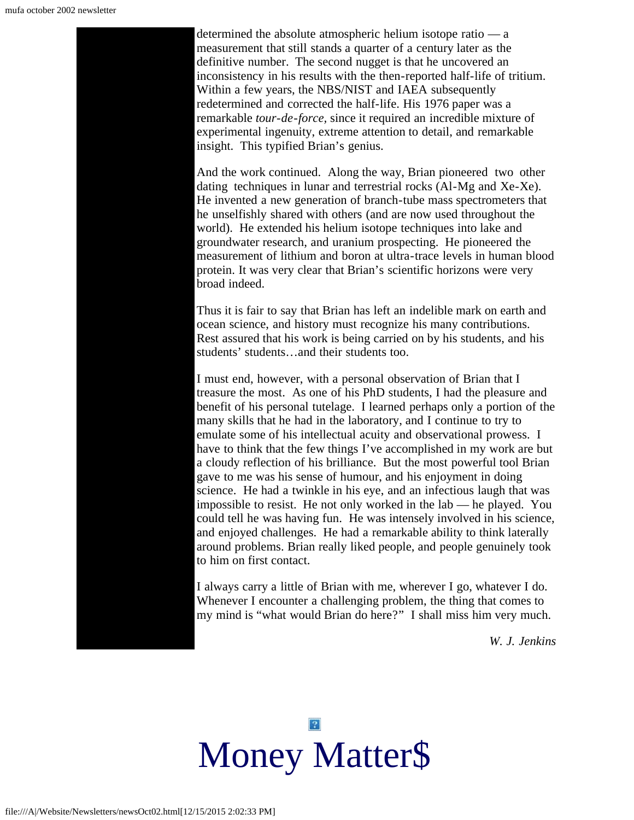determined the absolute atmospheric helium isotope ratio — a measurement that still stands a quarter of a century later as the definitive number. The second nugget is that he uncovered an inconsistency in his results with the then-reported half-life of tritium. Within a few years, the NBS/NIST and IAEA subsequently redetermined and corrected the half-life. His 1976 paper was a remarkable *tour-de-force,* since it required an incredible mixture of experimental ingenuity, extreme attention to detail, and remarkable insight. This typified Brian's genius.

And the work continued. Along the way, Brian pioneered two other dating techniques in lunar and terrestrial rocks (Al-Mg and Xe-Xe). He invented a new generation of branch-tube mass spectrometers that he unselfishly shared with others (and are now used throughout the world). He extended his helium isotope techniques into lake and groundwater research, and uranium prospecting. He pioneered the measurement of lithium and boron at ultra-trace levels in human blood protein. It was very clear that Brian's scientific horizons were very broad indeed.

Thus it is fair to say that Brian has left an indelible mark on earth and ocean science, and history must recognize his many contributions. Rest assured that his work is being carried on by his students, and his students' students…and their students too.

I must end, however, with a personal observation of Brian that I treasure the most. As one of his PhD students, I had the pleasure and benefit of his personal tutelage. I learned perhaps only a portion of the many skills that he had in the laboratory, and I continue to try to emulate some of his intellectual acuity and observational prowess. I have to think that the few things I've accomplished in my work are but a cloudy reflection of his brilliance. But the most powerful tool Brian gave to me was his sense of humour, and his enjoyment in doing science. He had a twinkle in his eye, and an infectious laugh that was impossible to resist. He not only worked in the lab — he played. You could tell he was having fun. He was intensely involved in his science, and enjoyed challenges. He had a remarkable ability to think laterally around problems. Brian really liked people, and people genuinely took to him on first contact.

I always carry a little of Brian with me, wherever I go, whatever I do. Whenever I encounter a challenging problem, the thing that comes to my mind is "what would Brian do here?" I shall miss him very much.

*W. J. Jenkins*

<span id="page-6-0"></span>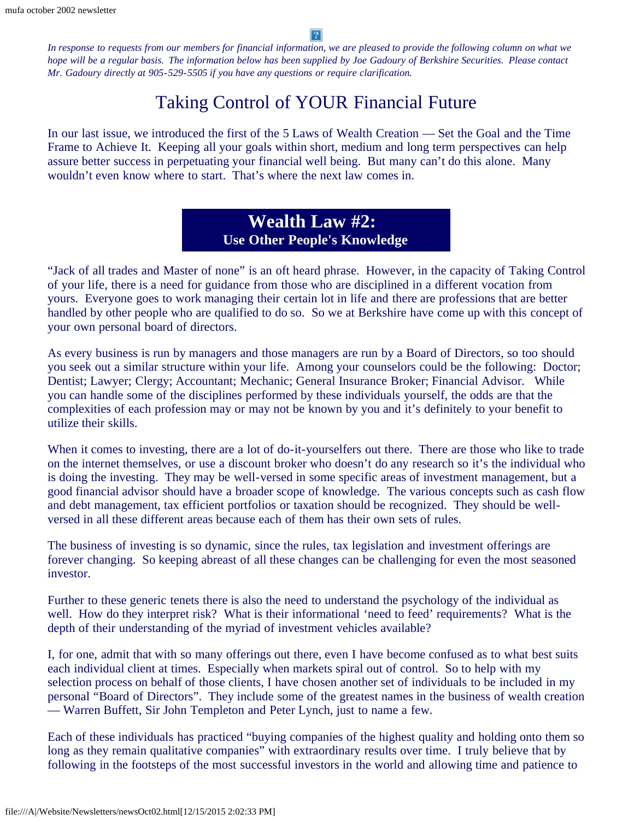2

*In response to requests from our members for financial information, we are pleased to provide the following column on what we hope will be a regular basis. The information below has been supplied by Joe Gadoury of Berkshire Securities. Please contact Mr. Gadoury directly at 905-529-5505 if you have any questions or require clarification.*

### Taking Control of YOUR Financial Future

In our last issue, we introduced the first of the 5 Laws of Wealth Creation — Set the Goal and the Time Frame to Achieve It. Keeping all your goals within short, medium and long term perspectives can help assure better success in perpetuating your financial well being. But many can't do this alone. Many wouldn't even know where to start. That's where the next law comes in.

### **Wealth Law #2: Use Other People's Knowledge**

"Jack of all trades and Master of none" is an oft heard phrase. However, in the capacity of Taking Control of your life, there is a need for guidance from those who are disciplined in a different vocation from yours. Everyone goes to work managing their certain lot in life and there are professions that are better handled by other people who are qualified to do so. So we at Berkshire have come up with this concept of your own personal board of directors.

As every business is run by managers and those managers are run by a Board of Directors, so too should you seek out a similar structure within your life. Among your counselors could be the following: Doctor; Dentist; Lawyer; Clergy; Accountant; Mechanic; General Insurance Broker; Financial Advisor. While you can handle some of the disciplines performed by these individuals yourself, the odds are that the complexities of each profession may or may not be known by you and it's definitely to your benefit to utilize their skills.

When it comes to investing, there are a lot of do-it-yourselfers out there. There are those who like to trade on the internet themselves, or use a discount broker who doesn't do any research so it's the individual who is doing the investing. They may be well-versed in some specific areas of investment management, but a good financial advisor should have a broader scope of knowledge. The various concepts such as cash flow and debt management, tax efficient portfolios or taxation should be recognized. They should be wellversed in all these different areas because each of them has their own sets of rules.

The business of investing is so dynamic, since the rules, tax legislation and investment offerings are forever changing. So keeping abreast of all these changes can be challenging for even the most seasoned investor.

Further to these generic tenets there is also the need to understand the psychology of the individual as well. How do they interpret risk? What is their informational 'need to feed' requirements? What is the depth of their understanding of the myriad of investment vehicles available?

I, for one, admit that with so many offerings out there, even I have become confused as to what best suits each individual client at times. Especially when markets spiral out of control. So to help with my selection process on behalf of those clients, I have chosen another set of individuals to be included in my personal "Board of Directors". They include some of the greatest names in the business of wealth creation — Warren Buffett, Sir John Templeton and Peter Lynch, just to name a few.

Each of these individuals has practiced "buying companies of the highest quality and holding onto them so long as they remain qualitative companies" with extraordinary results over time. I truly believe that by following in the footsteps of the most successful investors in the world and allowing time and patience to